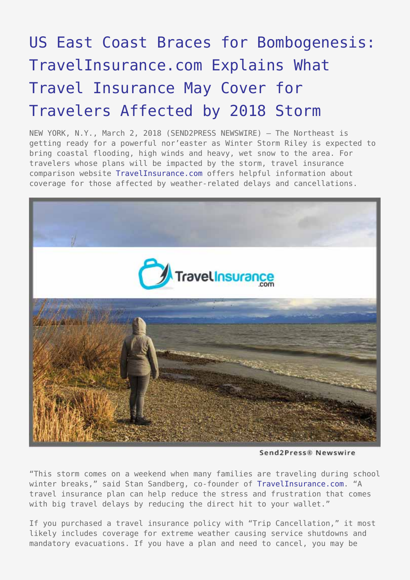## [US East Coast Braces for Bombogenesis:](https://www.send2press.com/wire/us-east-coast-braces-for-bombogenesis-travelinsurance-com-explains-what-travel-insurance-may-cover-for-travelers-affected-by-2018-storm/) [TravelInsurance.com Explains What](https://www.send2press.com/wire/us-east-coast-braces-for-bombogenesis-travelinsurance-com-explains-what-travel-insurance-may-cover-for-travelers-affected-by-2018-storm/) [Travel Insurance May Cover for](https://www.send2press.com/wire/us-east-coast-braces-for-bombogenesis-travelinsurance-com-explains-what-travel-insurance-may-cover-for-travelers-affected-by-2018-storm/) [Travelers Affected by 2018 Storm](https://www.send2press.com/wire/us-east-coast-braces-for-bombogenesis-travelinsurance-com-explains-what-travel-insurance-may-cover-for-travelers-affected-by-2018-storm/)

NEW YORK, N.Y., March 2, 2018 (SEND2PRESS NEWSWIRE) — The Northeast is getting ready for a powerful nor'easter as Winter Storm Riley is expected to bring coastal flooding, high winds and heavy, wet snow to the area. For travelers whose plans will be impacted by the storm, travel insurance comparison website [TravelInsurance.com](https://www.travelinsurance.com/) offers helpful information about coverage for those affected by weather-related delays and cancellations.



Send2Press® Newswire

"This storm comes on a weekend when many families are traveling during school winter breaks," said Stan Sandberg, co-founder of [TravelInsurance.com](https://www.travelinsurance.com/). "A travel insurance plan can help reduce the stress and frustration that comes with big travel delays by reducing the direct hit to your wallet."

If you purchased a travel insurance policy with "Trip Cancellation," it most likely includes coverage for extreme weather causing service shutdowns and mandatory evacuations. If you have a plan and need to cancel, you may be